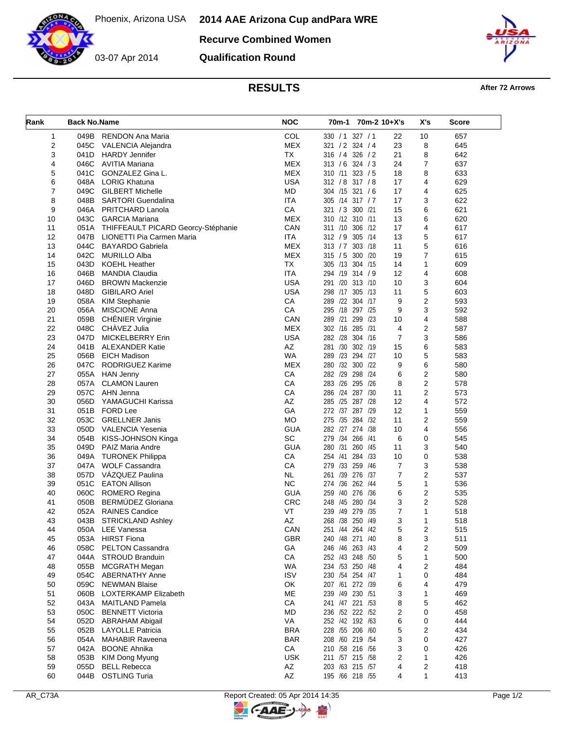03-07 Apr 2014

**Recurve Combined Women**

**Qualification Round**



**RESULTS After 72 Arrows** 

| Rank           | <b>Back No.Name</b> |                                         | <b>NOC</b> | 70m-1 70m-2 10+X's |         |                | X's            | Score |
|----------------|---------------------|-----------------------------------------|------------|--------------------|---------|----------------|----------------|-------|
| 1              | 049B                | <b>RENDON Ana Maria</b>                 | COL        | 330 / 1 327 / 1    |         | 22             | 10             | 657   |
| $\overline{2}$ | 045C                | VALENCIA Alejandra                      | <b>MEX</b> | 321 / 2 324 / 4    |         | 23             | 8              | 645   |
| 3              | 041D                | <b>HARDY Jennifer</b>                   | <b>TX</b>  | 316 / 4 326 / 2    |         | 21             | 8              | 642   |
| 4              | 046C                | AVITIA Mariana                          | <b>MEX</b> | $313 / 6$ 324 / 3  |         | 24             | $\overline{7}$ | 637   |
| 5              | 041C                | GONZALEZ Gina L.                        | <b>MEX</b> | 310 /11 323 / 5    |         | 18             | 8              | 633   |
| 6              | 048A                | <b>LORIG Khatuna</b>                    | <b>USA</b> | 312 / 8 317 / 8    |         | 17             | 4              | 629   |
| $\overline{7}$ | 049C                | <b>GILBERT Michelle</b>                 | <b>MD</b>  | 304 /15 321 /6     |         | 17             | 4              | 625   |
| 8              | 048B                | <b>SARTORI</b> Guendalina               | <b>ITA</b> | 305 /14 317 / 7    |         | 17             | 3              | 622   |
| 9              | 046A                | PRITCHARD Lanola                        | CA         | 321 / 3 300 / 21   |         | 15             | 6              | 621   |
| 10             | 043C                | <b>GARCIA Mariana</b>                   | <b>MEX</b> | 310 /12 310 /11    |         | 13             | 6              | 620   |
| 11             |                     | 051A THIFFEAULT PICARD Georcy-Stéphanie | CAN        | 311 /10 306 /12    |         | 17             | 4              | 617   |
| 12             | 047B                | LIONETTI Pia Carmen Maria               | <b>ITA</b> | 312 / 9 305 /14    |         | 13             | 5              | 617   |
| 13             | 044C                | <b>BAYARDO Gabriela</b>                 | <b>MEX</b> | 313 / 7 303 / 18   |         | 11             | 5              | 616   |
| 14             | 042C                | <b>MURILLO Alba</b>                     | <b>MEX</b> | 315 / 5 300 /20    |         | 19             | 7              | 615   |
| 15             | 043D                | <b>KOEHL Heather</b>                    | <b>TX</b>  | 305 /13 304 /15    |         | 14             | 1              | 609   |
| 16             | 046B                | <b>MANDIA Claudia</b>                   | <b>ITA</b> | 294 /19 314 / 9    |         | 12             | 4              | 608   |
| 17             | 046D                | <b>BROWN Mackenzie</b>                  | <b>USA</b> | 291 /20 313 /10    |         | 10             | 3              | 604   |
| 18             | 048D                | <b>GIBILARO Ariel</b>                   | <b>USA</b> | 298 /17 305 /13    |         | 11             | 5              | 603   |
| 19             | 058A                | <b>KIM Stephanie</b>                    | CA         | 289 /22 304 /17    |         | 9              | $\overline{2}$ | 593   |
| 20             | 056A                | <b>MISCIONE Anna</b>                    | СA         | 295 /18 297 /25    |         | 9              | 3              | 592   |
| 21             | 059B                | CHÉNIER Virginie                        | CAN        | 289 /21            | 299 /23 | 10             | 4              | 588   |
| 22             | 048C                | CHAVEZ Julia                            | <b>MEX</b> | 302 /16 285 /31    |         | 4              | $\overline{2}$ | 587   |
| 23             | 047D                | <b>MICKELBERRY Erin</b>                 | USA        | 282 /28 304 /16    |         | 7              | 3              | 586   |
| 24             | 041B                | <b>ALEXANDER Katie</b>                  | AZ         | 281 /30 302 /19    |         | 15             | 6              | 583   |
| 25             | 056B                | <b>EICH Madison</b>                     | <b>WA</b>  | 289 /23 294 /27    |         | 10             | 5              | 583   |
| 26             | 047C                | RODRIGUEZ Karime                        | <b>MEX</b> | 280 /32 300 /22    |         | 9              | 6              | 580   |
| 27             | 055A                | HAN Jenny                               | CA         | 282 /29            | 298 /24 | 6              | 2              | 580   |
| 28             | 057A                | <b>CLAMON Lauren</b>                    | CA         | 283 /26 295 /26    |         | 8              | $\overline{2}$ | 578   |
| 29             | 057C                | AHN Jenna                               | CA         | 286 /24 287 /30    |         | 11             | $\overline{2}$ | 573   |
| 30             | 056D                | YAMAGUCHI Karissa                       | AZ         | 285 /25 287 /28    |         | 12             | 4              | 572   |
| 31             | 051B                | <b>FORD Lee</b>                         | GA         | 272 /37 287 /29    |         | 12             | 1              | 559   |
| 32             | 053C                | <b>GRELLNER Janis</b>                   | <b>MO</b>  | 275 /35 284 /32    |         | 11             | $\overline{2}$ | 559   |
| 33             | 050D                | VALENCIA Yesenia                        | GUA        | 282 /27 274 /38    |         | 10             | 4              | 556   |
| 34             | 054B                | KISS-JOHNSON Kinga                      | SC         | 279 /34 266 /41    |         | 6              | 0              | 545   |
| 35             | 049D                | PAIZ Maria Andre                        | <b>GUA</b> | 280 /31 260 /45    |         | 11             | 3              | 540   |
| 36             |                     | 049A TURONEK Philippa                   | CA         | 254 /41 284 /33    |         | 10             | 0              | 538   |
| 37             |                     | 047A WOLF Cassandra                     | CA         | 279 /33 259 /46    |         | 7              | 3              | 538   |
| 38             | 057D                | VAZQUEZ Paulina                         | <b>NL</b>  | 261 /39 276 /37    |         | $\overline{7}$ | $\overline{2}$ | 537   |
| 39             | 051C                | <b>EATON Allison</b>                    | <b>NC</b>  | 274 /36 262 /44    |         | 5              | $\mathbf{1}$   | 536   |
| 40             | 060C                | ROMERO Regina                           | <b>GUA</b> | 259 /40 276 /36    |         | 6              | 2              | 535   |
| 41             | 050B                | BERMÚDEZ Gloriana                       | <b>CRC</b> | 248 /45 280 /34    |         | 3              | $\overline{2}$ | 528   |
| 42             | 052A                | <b>RAINES Candice</b>                   | VT         | 239 /49 279 /35    |         | $\overline{7}$ | $\mathbf{1}$   | 518   |
| 43             | 043B                | <b>STRICKLAND Ashley</b>                | AZ         | 268 /38 250 /49    |         | 3              | 1              | 518   |
| 44             |                     | 050A LEE Vanessa                        | CAN        | 251 /44 264 /42    |         | 5              | 2              | 515   |
| 45             | 053A                | <b>HIRST Fiona</b>                      | <b>GBR</b> | 240 /48 271 /40    |         | 8              | 3              | 511   |
| 46             | 058C                | <b>PELTON Cassandra</b>                 | GA         | 246 /46 263 /43    |         | 4              | 2              | 509   |
| 47             | 044A                | <b>STROUD Branduin</b>                  | CA         | 252 /43 248 /50    |         | 5              | 1              | 500   |
| 48             | 055B                | <b>MCGRATH Megan</b>                    | <b>WA</b>  | 234 /53 250 /48    |         | 4              | 2              | 484   |
| 49             | 054C                | <b>ABERNATHY Anne</b>                   | <b>ISV</b> | 230 /54 254 /47    |         | 1              | 0              | 484   |
| 50             | 059C                | <b>NEWMAN Blaise</b>                    | OK         | 207 /61 272 /39    |         | 6              | 4              | 479   |
| 51             | 060B                | LOXTERKAMP Elizabeth                    | ME         | 239 /49 230 /51    |         | 3              | 1              | 469   |
| 52             | 043A                | <b>MAITLAND Pamela</b>                  | CA         | 241 /47 221 /53    |         | 8              | 5              | 462   |
| 53             | 050C                | <b>BENNETT Victoria</b>                 | MD         | 236 /52 222 /52    |         | 2              | 0              | 458   |
| 54             | 052D                | ABRAHAM Abigail                         | VA         | 252 /42 192 /63    |         | 6              | 0              | 444   |
| 55             | 052B                | <b>LAYOLLE Patricia</b>                 | <b>BRA</b> | 228 /55 206 /60    |         | 5              | 2              | 434   |
| 56             | 054A                | <b>MAHABIR Raveena</b>                  | <b>BAR</b> | 208 /60 219 /54    |         | 3              | 0              | 427   |
| 57             | 042A                | <b>BOONE Ahnika</b>                     | CA         | 210 /58 216 /56    |         | 3              | 0              | 426   |
| 58             | 053B                | KIM Dong Myung                          | <b>USK</b> | 211 /57 215 /58    |         | 2              | 1              | 426   |
| 59             | 055D                | <b>BELL Rebecca</b>                     | AZ         | 203 /63 215 /57    |         | 4              | 2              | 418   |
| 60             | 044B                | <b>OSTLING Turia</b>                    | AZ         | 195 /66 218 /55    |         | 4              | 1              | 413   |

**C-AAE-J**